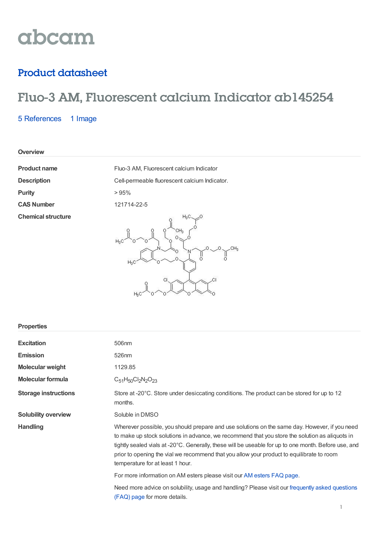# abcam

### Product datasheet

## Fluo-3 AM, Fluorescent calcium Indicator ab145254

5 [References](https://www.abcam.com/fluo-3-am-fluorescent-calcium-indicator-ab145254.html#description_references) 1 Image

**Overview**

**Purity** > 95% **Chemical structure**

**Product name** Fluo-3 AM, Fluorescent calcium Indicator **Description** Cell-permeable fluorescent calcium Indicator. **CAS Number** 121714-22-5 o ,o Ĭ

Ċ

 $CH<sub>3</sub>$ 

 $\cap$ 

| <b>Properties</b>           |                                                                                                                                                                                                                                                                                                                                                                                                                                          |
|-----------------------------|------------------------------------------------------------------------------------------------------------------------------------------------------------------------------------------------------------------------------------------------------------------------------------------------------------------------------------------------------------------------------------------------------------------------------------------|
| <b>Excitation</b>           | 506 <sub>nm</sub>                                                                                                                                                                                                                                                                                                                                                                                                                        |
| <b>Emission</b>             | 526nm                                                                                                                                                                                                                                                                                                                                                                                                                                    |
| <b>Molecular weight</b>     | 1129.85                                                                                                                                                                                                                                                                                                                                                                                                                                  |
| <b>Molecular formula</b>    | $C_{51}H_{50}Cl_2N_2O_{23}$                                                                                                                                                                                                                                                                                                                                                                                                              |
| <b>Storage instructions</b> | Store at -20°C. Store under desiccating conditions. The product can be stored for up to 12<br>months.                                                                                                                                                                                                                                                                                                                                    |
| <b>Solubility overview</b>  | Soluble in DMSO                                                                                                                                                                                                                                                                                                                                                                                                                          |
| <b>Handling</b>             | Wherever possible, you should prepare and use solutions on the same day. However, if you need<br>to make up stock solutions in advance, we recommend that you store the solution as aliquots in<br>tightly sealed vials at -20°C. Generally, these will be useable for up to one month. Before use, and<br>prior to opening the vial we recommend that you allow your product to equilibrate to room<br>temperature for at least 1 hour. |
|                             | For more information on AM esters please visit our AM esters FAQ page.                                                                                                                                                                                                                                                                                                                                                                   |
|                             | Need more advice on solubility, usage and handling? Please visit our frequently asked questions<br>(FAQ) page for more details.                                                                                                                                                                                                                                                                                                          |